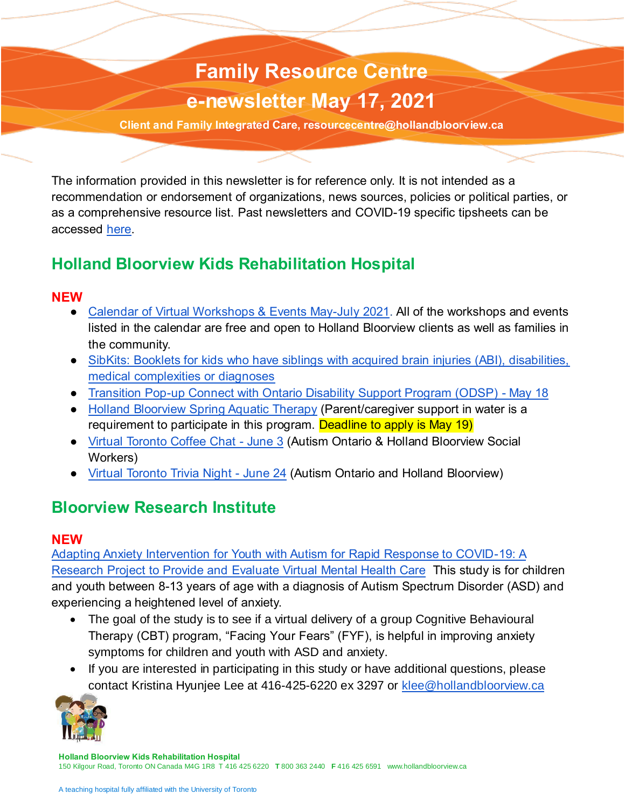# **Family Resource Centre Family Resource Centre COVID-19 e-letter e-newsletter May 17, 2021**

**.ca Client and Family Integrated Care, resourcecentre@hollandbloorview.ca**

The information provided in this newsletter is for reference only. It is not intended as a recommendation or endorsement of organizations, news sources, policies or political parties, or as a comprehensive resource list. Past newsletters and COVID-19 specific tipsheets can be accessed [here.](https://hollandbloorview.ca/our-services/family-workshops-resources/covid-19-tip-sheets-and-resources)

# **Holland Bloorview Kids Rehabilitation Hospital**

#### **NEW**

- [Calendar of Virtual Workshops & Events May-July 2021.](https://hollandbloorview.ca/sites/default/files/2021-05/FINAL%20May-July%202021%20-%20Virtual%20Workshops%20and%20Events%20Calendar.pdf) All of the workshops and events listed in the calendar are free and open to Holland Bloorview clients as well as families in the community.
- [SibKits: Booklets for kids who have siblings with acquired brain injuries \(ABI\), disabilities,](https://hollandbloorview.ca/services/family-workshops-resources/family-resource-centre/online-family-resources-centre/sibkits)  [medical complexities or diagnoses](https://hollandbloorview.ca/services/family-workshops-resources/family-resource-centre/online-family-resources-centre/sibkits)
- [Transition Pop-up Connect with Ontario Disability Support Program \(ODSP\) -](https://www.eventbrite.ca/e/152564966923) May 18
- [Holland Bloorview Spring Aquatic Therapy](https://hollandbloorview.ca/services/programs-services/aquatic-therapy) (Parent/caregiver support in water is a requirement to participate in this program. Deadline to apply is May 19)
- [Virtual Toronto Coffee Chat -](https://www.autismontario.com/civicrm/event/info?id=5689) June 3 (Autism Ontario & Holland Bloorview Social Workers)
- [Virtual Toronto Trivia Night](https://www.autismontario.com/civicrm/event/info?id=5690) June 24 (Autism Ontario and Holland Bloorview)

# **Bloorview Research Institute**

#### **NEW**

[Adapting Anxiety Intervention for Youth with Autism for Rapid Response to COVID-19: A](https://hollandbloorview.ca/adapting-anxiety-intervention-youth-autism-rapid-response-covid-19-research-project-provide-and)  [Research Project to Provide and Evaluate Virtual Mental Health Care](https://hollandbloorview.ca/adapting-anxiety-intervention-youth-autism-rapid-response-covid-19-research-project-provide-and) This study is for children and youth between 8-13 years of age with a diagnosis of Autism Spectrum Disorder (ASD) and experiencing a heightened level of anxiety.

- The goal of the study is to see if a virtual delivery of a group Cognitive Behavioural Therapy (CBT) program, "Facing Your Fears" (FYF), is helpful in improving anxiety symptoms for children and youth with ASD and anxiety.
- If you are interested in participating in this study or have additional questions, please contact Kristina Hyunjee Lee at 416-425-6220 ex 3297 or [klee@hollandbloorview.ca](mailto:klee@hollandbloorview.ca)

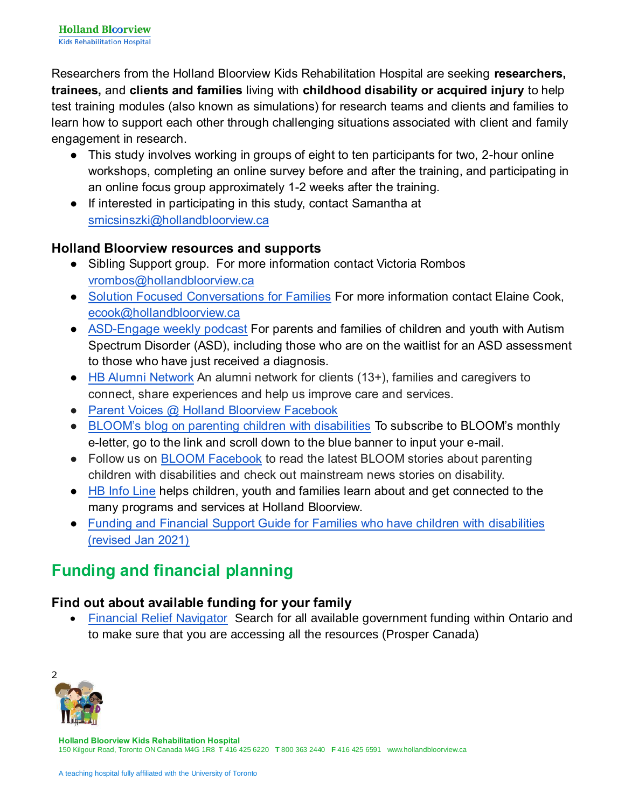Researchers from the Holland Bloorview Kids Rehabilitation Hospital are seeking **researchers, trainees,** and **clients and families** living with **childhood disability or acquired injury** to help test training modules (also known as simulations) for research teams and clients and families to learn how to support each other through challenging situations associated with client and family engagement in research.

- This study involves working in groups of eight to ten participants for two, 2-hour online workshops, completing an online survey before and after the training, and participating in an online focus group approximately 1-2 weeks after the training.
- If interested in participating in this study, contact Samantha at [smicsinszki@hollandbloorview.ca](mailto:smicsinszki@hollandbloorview.ca)

#### **Holland Bloorview resources and supports**

- Sibling Support group. For more information contact Victoria Rombos [vrombos@hollandbloorview.ca](mailto:vrombos@hollandbloorview.ca)
- [Solution Focused Conversations for Families](https://hollandbloorview.ca/services/family-workshops-resources/family-workshops) For more information contact Elaine Cook, [ecook@hollandbloorview.ca](mailto:ecook@hollandbloorview.ca)
- [ASD-Engage weekly podcast](https://hollandbloorview.ca/our-services/hb-podcasts/asd-engage) For parents and families of children and youth with Autism Spectrum Disorder (ASD), including those who are on the waitlist for an ASD assessment to those who have just received a diagnosis.
- [HB Alumni Network](https://hbalumninetwork.ca/) An alumni network for clients (13+), families and caregivers to connect, share experiences and help us improve care and services.
- Parent Voices @ Holland Bloorview Facebook
- [BLOOM's blog on parenting children with disabilities](https://www.hollandbloorview.ca/stories-news-events/bloom-blog) To subscribe to BLOOM's monthly e-letter, go to the link and scroll down to the blue banner to input your e-mail.
- Follow us on [BLOOM Facebook](https://www.facebook.com/BLOOMHollandBloorview) to read the latest BLOOM stories about parenting children with disabilities and check out mainstream news stories on disability.
- [HB Info Line](https://www.hollandbloorview.ca/our-services/about-your-visit/hb-infoline) helps children, youth and families learn about and get connected to the many programs and services at Holland Bloorview.
- [Funding and Financial Support Guide for Families who have children with disabilities](https://hollandbloorview.ca/services/family-workshops-resources/family-resource-centre/online-family-resources-centre/funding)  [\(revised Jan 2021\)](https://hollandbloorview.ca/services/family-workshops-resources/family-resource-centre/online-family-resources-centre/funding)

# **Funding and financial planning**

#### **Find out about available funding for your family**

 [Financial Relief Navigator](https://financialreliefnav.prospercanada.org/en) Search for all available government funding within Ontario and to make sure that you are accessing all the resources (Prosper Canada)

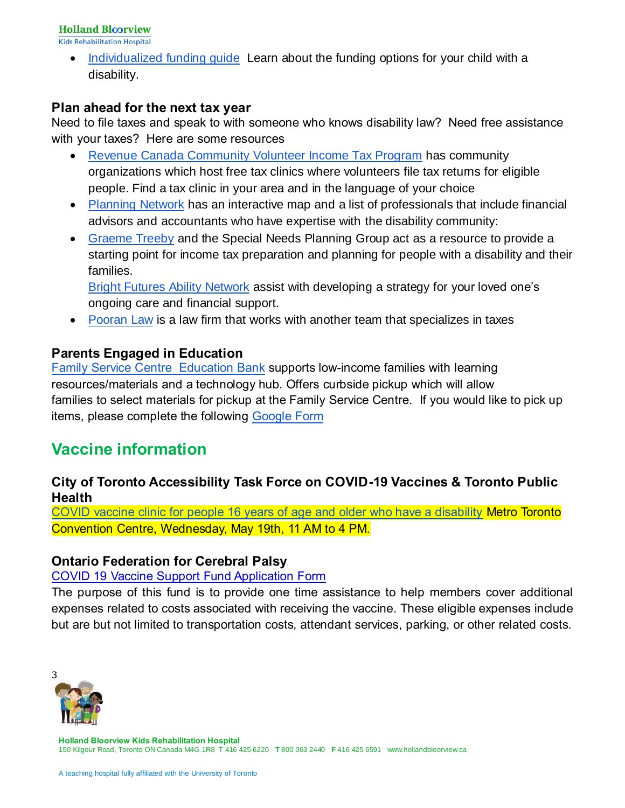**Holland Bloorview** 

**Kids Rehabilitation Hospital** 

• Individualized funding quide Learn about the funding options for your child with a disability.

#### **Plan ahead for the next tax year**

Need to file taxes and speak to with someone who knows disability law? Need free assistance with your taxes? Here are some resources

- [Revenue Canada Community Volunteer Income Tax Program](https://www.canada.ca/en/revenue-agency/services/tax/individuals/community-volunteer-income-tax-program/need-a-hand-complete-your-tax-return.html) has community organizations which host free tax clinics where volunteers file tax returns for eligible people. Find a tax clinic in your area and in the language of your choice
- [Planning Network](https://www.planningnetwork.ca/get-connected/professional-services-directory) has an interactive map and a list of professionals that include financial advisors and accountants who have expertise with the disability community:
- [Graeme Treeby](http://www.specialneedsplanning.ca/about.html) and the Special Needs Planning Group act as a resource to provide a starting point for income tax preparation and planning for people with a disability and their families.

[Bright Futures Ability Network](https://brightfuturesplan.com/) assist with developing a strategy for your loved one's ongoing care and financial support.

• [Pooran Law](https://pooranlaw.com/services/people/tax-planning-and-the-disability-tax-credit-eligibility/) is a law firm that works with another team that specializes in taxes

#### **Parents Engaged in Education**

[Family Service Centre Education Bank](https://www.parentsengagedineducation.ca/family-service-centre) supports low-income families with learning resources/materials and a technology hub. Offers curbside pickup which will allow families to select materials for pickup at the Family Service Centre. If you would like to pick up items, please complete the following [Google Form](https://docs.google.com/forms/d/e/1FAIpQLSdwJx-CmCdqjWgcXdqTuy-_4SMwSXs4mpfNJeZEhmRWc-RzhA/viewform)

# **Vaccine information**

#### **City of Toronto Accessibility Task Force on COVID-19 Vaccines & Toronto Public Health**

[COVID vaccine clinic for people 16 years of age and older who have a disability](https://covidvaccineontario.simplybook.me/v2/) Metro Toronto Convention Centre, Wednesday, May 19th, 11 AM to 4 PM.

#### **Ontario Federation for Cerebral Palsy**

#### [COVID 19 Vaccine Support Fund Application Form](https://ofcp.us7.list-manage.com/track/click?u=596256882a05fc66284a54020&id=056371eb92&e=7b47940875)

The purpose of this fund is to provide one time assistance to help members cover additional expenses related to costs associated with receiving the vaccine. These eligible expenses include but are but not limited to transportation costs, attendant services, parking, or other related costs.

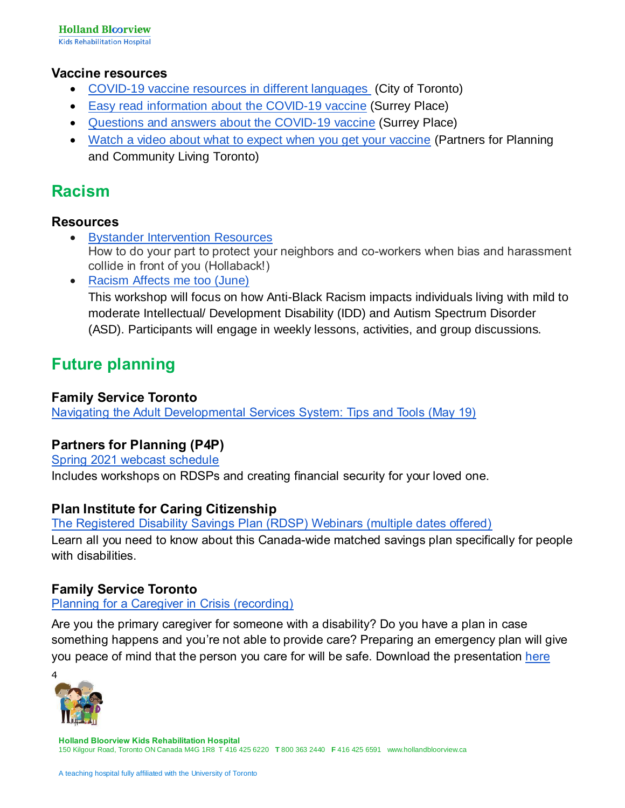#### **Vaccine resources**

- [COVID-19 vaccine resources in different languages](https://www.toronto.ca/home/covid-19/covid-19-protect-yourself-others/covid-19-vaccines/covid-19-vaccine-resources/) (City of Toronto)
- [Easy read information about](https://www.hcarddcovid.com/info#vaccine) the COVID-19 vaccine (Surrey Place)
- [Questions and answers about](https://mcusercontent.com/4d4cfab0c99c164a0a953b154/files/e1b953e4-30e2-4105-ba50-e16fa7039be5/COVID_19_Vaccines_Webinar_with_Family_Caregivers_FAQs_Final_corrected2_1_.pdf) the COVID-19 vaccine (Surrey Place)
- [Watch a video about what to expect when you get your vaccine](https://vimeo.com/534566116?mc_cid=2730ae97da&mc_eid=0eb3a07a2c) (Partners for Planning and Community Living Toronto)

### **Racism**

#### **Resources**

- [Bystander Intervention Resources](https://www.ihollaback.org/bystander-resources/) How to do your part to protect your neighbors and co-workers when bias and harassment collide in front of you (Hollaback!)
- [Racism Affects me too \(June\)](https://connectability.ca/2021/05/13/racism-affects-me-too/) This workshop will focus on how Anti-Black Racism impacts individuals living with mild to moderate Intellectual/ Development Disability (IDD) and Autism Spectrum Disorder (ASD). Participants will engage in weekly lessons, activities, and group discussions.

# **Future planning**

#### **Family Service Toronto**

[Navigating the Adult Developmental Services System: Tips and Tools \(May 19\)](https://zoom.us/webinar/register/WN_9NswvCEETLSJDbEHE_AHIQ) 

#### **Partners for Planning (P4P)**

[Spring 2021 webcast schedule](https://planningnetwork.ca/)  Includes workshops on RDSPs and creating financial security for your loved one.

#### **Plan Institute for Caring Citizenship**

[The Registered Disability Savings Plan \(RDSP\) Webinars \(multiple dates offered\)](https://planinstitute.ca/registered-disability-savings-plan/)  Learn all you need to know about this Canada-wide matched savings plan specifically for people with disabilities.

#### **Family Service Toronto**

[Planning for a Caregiver in Crisis \(recording\)](https://www.youtube.com/watch?v=SIP0611b7Dc)

Are you the primary caregiver for someone with a disability? Do you have a plan in case something happens and you're not able to provide care? Preparing an emergency plan will give you peace of mind that the person you care for will be safe. Download the presentation [here](https://familyservicetoronto.org/wp-content/uploads/2021/02/PlanningforaCaregiverinCrisis.pdf)

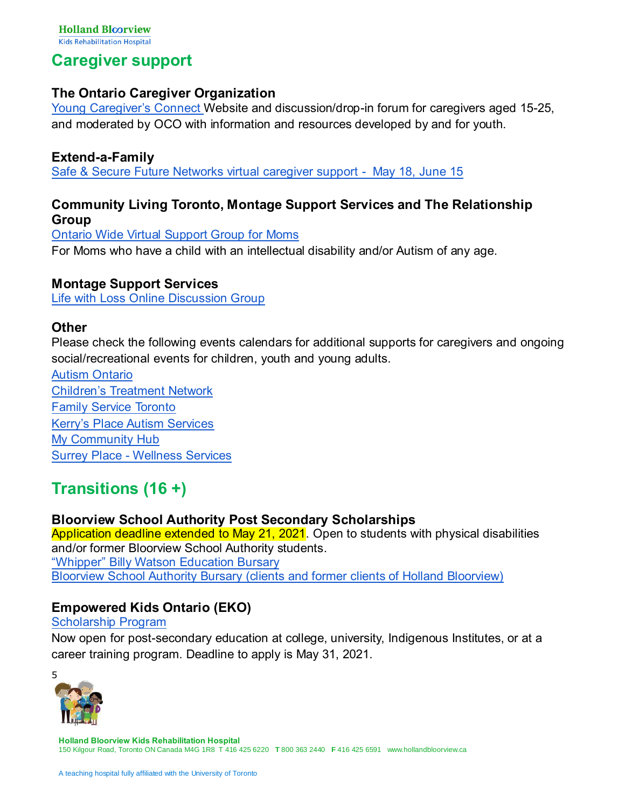### **Caregiver support**

#### **The Ontario Caregiver Organization**

[Young Caregiver's Connect W](http://youngcaregiversconnect.ca/)ebsite and discussion/drop-in forum for caregivers aged 15-25, and moderated by OCO with information and resources developed by and for youth.

#### **Extend-a-Family**

[Safe & Secure Future Networks virtual caregiver support - May 18, June 15](https://connectability.ca/2021/01/11/safe-secure-future-networks-extend-a-family/) 

#### **Community Living Toronto, Montage Support Services and The Relationship Group**

[Ontario Wide Virtual Support Group for Moms](https://connectability.ca/2021/01/08/ontario-wide-virtual-support-group-for-moms/) For Moms who have a child with an intellectual disability and/or Autism of any age.

#### **Montage Support Services**

[Life with Loss Online Discussion Group](https://connectability.ca/2021/03/22/life-with-loss-online-discussion-group/)

#### **Other**

Please check the following events calendars for additional supports for caregivers and ongoing social/recreational events for children, youth and young adults.

[Autism Ontario](https://www.autismontario.com/events?custom_326=All&custom_325=All&event_type_id=All&custom_356=All&page=1) [Children's Treatment Network](https://www.ctnsy.ca/Events.aspx) [Family Service Toronto](https://familyservicetoronto.org/our-services/virtual-workshops-and-groups/) [Kerry's Place Autism Services](https://www.kerrysplace.org/events/list/) [My Community Hub](https://mycommunityhub.ca/) Surrey Place - [Wellness Services](https://www.surreyplace.ca/programs-services/wellness-services/#events-calendar) 

# **Transitions (16 +)**

#### **Bloorview School Authority Post Secondary Scholarships**

Application deadline extended to May 21, 2021. Open to students with physical disabilities and/or former Bloorview School Authority students. ["Whipper" Billy Watson Education Bursary](https://bloorviewschool.ca/vendor/ckuploads/files/Whipper%20Billy%20Watson%20Application%202021_April_2021.pdf) Bloorview [School Authority Bursary \(clients and former clients of Holland Bloorview\)](https://bloorviewschool.ca/vendor/ckuploads/files/Bloorview%20School%20Bursary%20application%20%202021(1).pdf)

#### **Empowered Kids Ontario (EKO)**

#### [Scholarship Program](https://empoweredkidsontario.ca/en/scholarshipawards?fbclid=IwAR2N_sx4JVNalob_EiJYB9dX3xVUw2GgzoD1w02XjL9xxPcMDy3o4lcGTkc)

Now open for post-secondary education at college, university, Indigenous Institutes, or at a career training program. Deadline to apply is May 31, 2021.